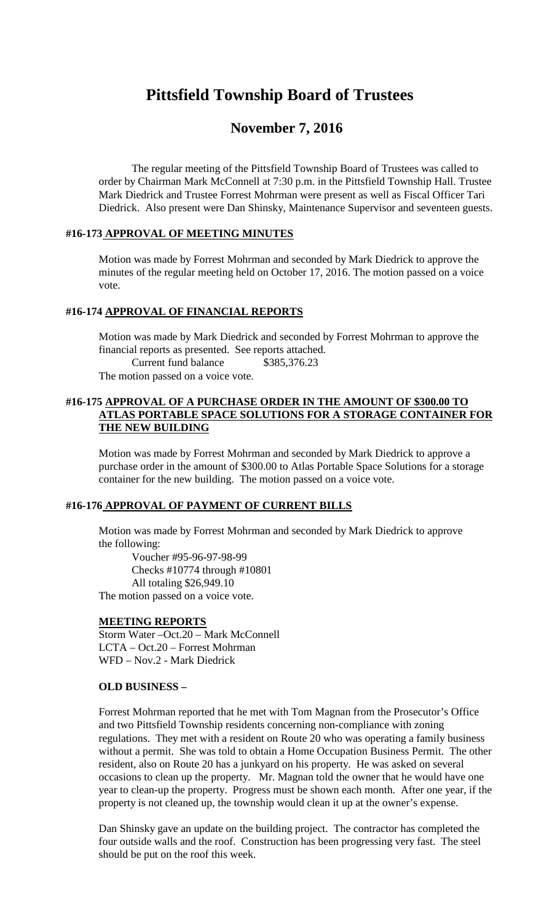# **Pittsfield Township Board of Trustees**

# **November 7, 2016**

The regular meeting of the Pittsfield Township Board of Trustees was called to order by Chairman Mark McConnell at 7:30 p.m. in the Pittsfield Township Hall. Trustee Mark Diedrick and Trustee Forrest Mohrman were present as well as Fiscal Officer Tari Diedrick. Also present were Dan Shinsky, Maintenance Supervisor and seventeen guests.

#### **#16-173 APPROVAL OF MEETING MINUTES**

Motion was made by Forrest Mohrman and seconded by Mark Diedrick to approve the minutes of the regular meeting held on October 17, 2016. The motion passed on a voice vote.

# **#16-174 APPROVAL OF FINANCIAL REPORTS**

Motion was made by Mark Diedrick and seconded by Forrest Mohrman to approve the financial reports as presented. See reports attached.

Current fund balance \$385,376.23

The motion passed on a voice vote.

# **#16-175 APPROVAL OF A PURCHASE ORDER IN THE AMOUNT OF \$300.00 TO ATLAS PORTABLE SPACE SOLUTIONS FOR A STORAGE CONTAINER FOR THE NEW BUILDING**

Motion was made by Forrest Mohrman and seconded by Mark Diedrick to approve a purchase order in the amount of \$300.00 to Atlas Portable Space Solutions for a storage container for the new building. The motion passed on a voice vote.

#### **#16-176 APPROVAL OF PAYMENT OF CURRENT BILLS**

Motion was made by Forrest Mohrman and seconded by Mark Diedrick to approve the following:

Voucher #95-96-97-98-99 Checks #10774 through #10801 All totaling \$26,949.10 The motion passed on a voice vote.

#### **MEETING REPORTS**

Storm Water –Oct.20 – Mark McConnell LCTA – Oct.20 – Forrest Mohrman WFD – Nov.2 - Mark Diedrick

#### **OLD BUSINESS –**

Forrest Mohrman reported that he met with Tom Magnan from the Prosecutor's Office and two Pittsfield Township residents concerning non-compliance with zoning regulations. They met with a resident on Route 20 who was operating a family business without a permit. She was told to obtain a Home Occupation Business Permit. The other resident, also on Route 20 has a junkyard on his property. He was asked on several occasions to clean up the property. Mr. Magnan told the owner that he would have one year to clean-up the property. Progress must be shown each month. After one year, if the property is not cleaned up, the township would clean it up at the owner's expense.

Dan Shinsky gave an update on the building project. The contractor has completed the four outside walls and the roof. Construction has been progressing very fast. The steel should be put on the roof this week.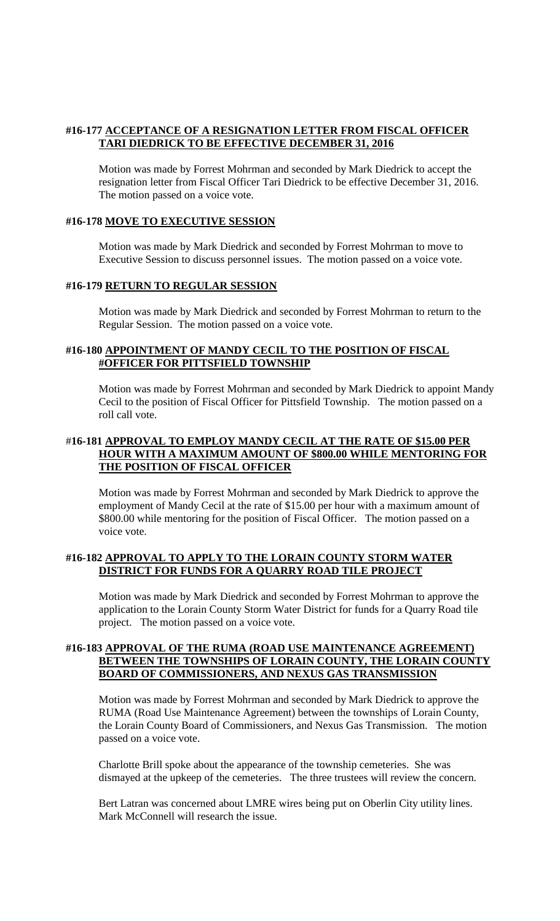# **#16-177 ACCEPTANCE OF A RESIGNATION LETTER FROM FISCAL OFFICER TARI DIEDRICK TO BE EFFECTIVE DECEMBER 31, 2016**

Motion was made by Forrest Mohrman and seconded by Mark Diedrick to accept the resignation letter from Fiscal Officer Tari Diedrick to be effective December 31, 2016. The motion passed on a voice vote.

### **#16-178 MOVE TO EXECUTIVE SESSION**

Motion was made by Mark Diedrick and seconded by Forrest Mohrman to move to Executive Session to discuss personnel issues. The motion passed on a voice vote.

#### **#16-179 RETURN TO REGULAR SESSION**

Motion was made by Mark Diedrick and seconded by Forrest Mohrman to return to the Regular Session. The motion passed on a voice vote.

### **#16-180 APPOINTMENT OF MANDY CECIL TO THE POSITION OF FISCAL #OFFICER FOR PITTSFIELD TOWNSHIP**

Motion was made by Forrest Mohrman and seconded by Mark Diedrick to appoint Mandy Cecil to the position of Fiscal Officer for Pittsfield Township. The motion passed on a roll call vote.

# #**16-181 APPROVAL TO EMPLOY MANDY CECIL AT THE RATE OF \$15.00 PER HOUR WITH A MAXIMUM AMOUNT OF \$800.00 WHILE MENTORING FOR THE POSITION OF FISCAL OFFICER**

Motion was made by Forrest Mohrman and seconded by Mark Diedrick to approve the employment of Mandy Cecil at the rate of \$15.00 per hour with a maximum amount of \$800.00 while mentoring for the position of Fiscal Officer. The motion passed on a voice vote.

# **#16-182 APPROVAL TO APPLY TO THE LORAIN COUNTY STORM WATER DISTRICT FOR FUNDS FOR A QUARRY ROAD TILE PROJECT**

Motion was made by Mark Diedrick and seconded by Forrest Mohrman to approve the application to the Lorain County Storm Water District for funds for a Quarry Road tile project. The motion passed on a voice vote.

#### **#16-183 APPROVAL OF THE RUMA (ROAD USE MAINTENANCE AGREEMENT) BETWEEN THE TOWNSHIPS OF LORAIN COUNTY, THE LORAIN COUNTY BOARD OF COMMISSIONERS, AND NEXUS GAS TRANSMISSION**

Motion was made by Forrest Mohrman and seconded by Mark Diedrick to approve the RUMA (Road Use Maintenance Agreement) between the townships of Lorain County, the Lorain County Board of Commissioners, and Nexus Gas Transmission. The motion passed on a voice vote.

Charlotte Brill spoke about the appearance of the township cemeteries. She was dismayed at the upkeep of the cemeteries. The three trustees will review the concern.

Bert Latran was concerned about LMRE wires being put on Oberlin City utility lines. Mark McConnell will research the issue.